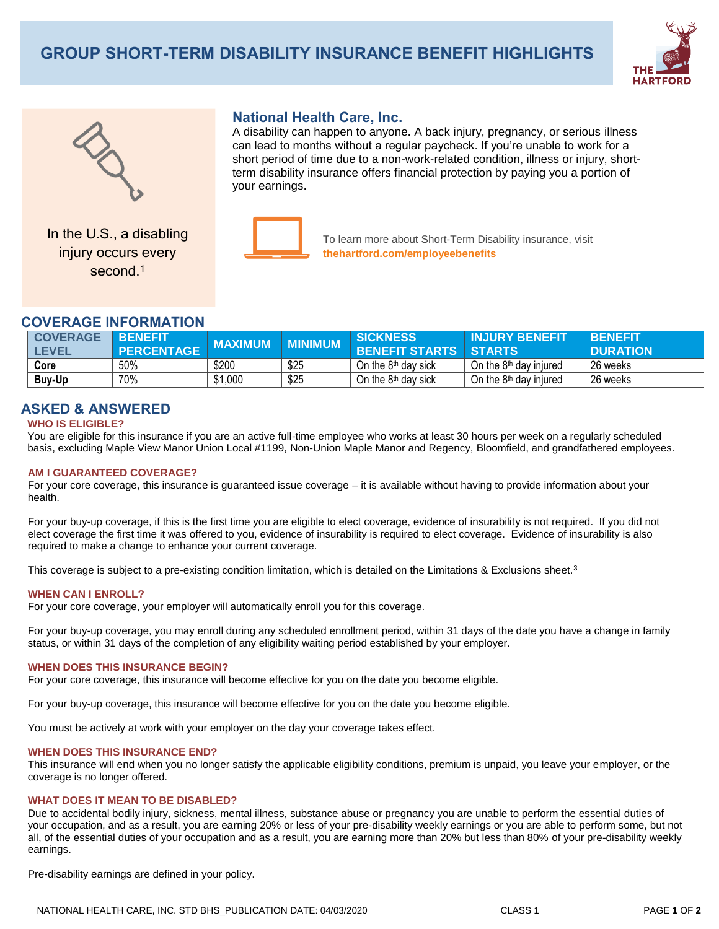# **GROUP SHORT-TERM DISABILITY INSURANCE BENEFIT HIGHLIGHTS**





In the U.S., a disabling injury occurs every second.<sup>1</sup>

# **National Health Care, Inc.**

A disability can happen to anyone. A back injury, pregnancy, or serious illness can lead to months without a regular paycheck. If you're unable to work for a short period of time due to a non-work-related condition, illness or injury, shortterm disability insurance offers financial protection by paying you a portion of your earnings.



To learn more about Short-Term Disability insurance, visit **thehartford.com/employeebenefits**

## **COVERAGE INFORMATION**

| <b>COVERAGE</b><br><b>EVEL</b> | <b>BENEFIT</b><br>PERCENTAGE | <b>MAXIMUM</b> | <b>MINIMUM</b> | <b>SICKNESS</b><br><b>BENEFIT STARTS   STARTS</b> | <b>INJURY BENEFIT</b>    | <b>RENEEIT</b><br><b>DURATION</b> |
|--------------------------------|------------------------------|----------------|----------------|---------------------------------------------------|--------------------------|-----------------------------------|
| Core                           | 50%                          | \$200          | \$25           | On the 8 <sup>th</sup> day sick                   | On the $8th$ day injured | 26 weeks                          |
| <b>Buy-Up</b>                  | 70%                          | \$1,000        | \$25           | On the 8 <sup>th</sup> day sick                   | On the $8th$ day injured | 26 weeks                          |

# **ASKED & ANSWERED**

### **WHO IS ELIGIBLE?**

You are eligible for this insurance if you are an active full-time employee who works at least 30 hours per week on a regularly scheduled basis, excluding Maple View Manor Union Local #1199, Non-Union Maple Manor and Regency, Bloomfield, and grandfathered employees.

### **AM I GUARANTEED COVERAGE?**

For your core coverage, this insurance is guaranteed issue coverage – it is available without having to provide information about your health.

For your buy-up coverage, if this is the first time you are eligible to elect coverage, evidence of insurability is not required. If you did not elect coverage the first time it was offered to you, evidence of insurability is required to elect coverage. Evidence of insurability is also required to make a change to enhance your current coverage.

This coverage is subject to a pre-existing condition limitation, which is detailed on the Limitations & Exclusions sheet.<sup>3</sup>

#### **WHEN CAN I ENROLL?**

For your core coverage, your employer will automatically enroll you for this coverage.

For your buy-up coverage, you may enroll during any scheduled enrollment period, within 31 days of the date you have a change in family status, or within 31 days of the completion of any eligibility waiting period established by your employer.

#### **WHEN DOES THIS INSURANCE BEGIN?**

For your core coverage, this insurance will become effective for you on the date you become eligible.

For your buy-up coverage, this insurance will become effective for you on the date you become eligible.

You must be actively at work with your employer on the day your coverage takes effect.

#### **WHEN DOES THIS INSURANCE END?**

This insurance will end when you no longer satisfy the applicable eligibility conditions, premium is unpaid, you leave your employer, or the coverage is no longer offered.

### **WHAT DOES IT MEAN TO BE DISABLED?**

Due to accidental bodily injury, sickness, mental illness, substance abuse or pregnancy you are unable to perform the essential duties of your occupation, and as a result, you are earning 20% or less of your pre-disability weekly earnings or you are able to perform some, but not all, of the essential duties of your occupation and as a result, you are earning more than 20% but less than 80% of your pre-disability weekly earnings.

Pre-disability earnings are defined in your policy.